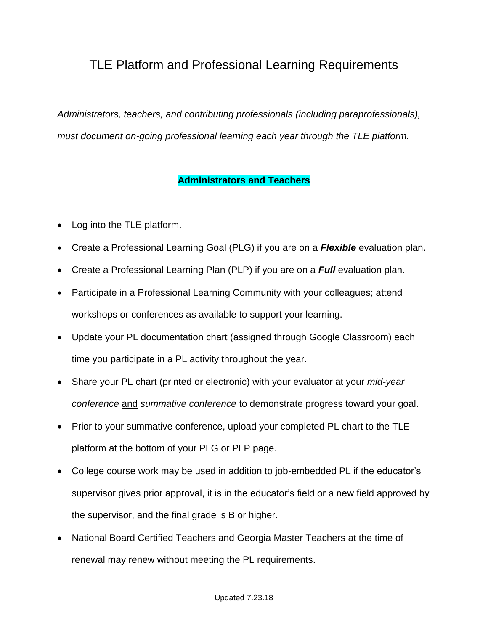## TLE Platform and Professional Learning Requirements

*Administrators, teachers, and contributing professionals (including paraprofessionals), must document on-going professional learning each year through the TLE platform.*

## **Administrators and Teachers**

- Log into the TLE platform.
- Create a Professional Learning Goal (PLG) if you are on a *Flexible* evaluation plan.
- Create a Professional Learning Plan (PLP) if you are on a *Full* evaluation plan.
- Participate in a Professional Learning Community with your colleagues; attend workshops or conferences as available to support your learning.
- Update your PL documentation chart (assigned through Google Classroom) each time you participate in a PL activity throughout the year.
- Share your PL chart (printed or electronic) with your evaluator at your *mid-year conference* and *summative conference* to demonstrate progress toward your goal.
- Prior to your summative conference, upload your completed PL chart to the TLE platform at the bottom of your PLG or PLP page.
- College course work may be used in addition to job-embedded PL if the educator's supervisor gives prior approval, it is in the educator's field or a new field approved by the supervisor, and the final grade is B or higher.
- National Board Certified Teachers and Georgia Master Teachers at the time of renewal may renew without meeting the PL requirements.